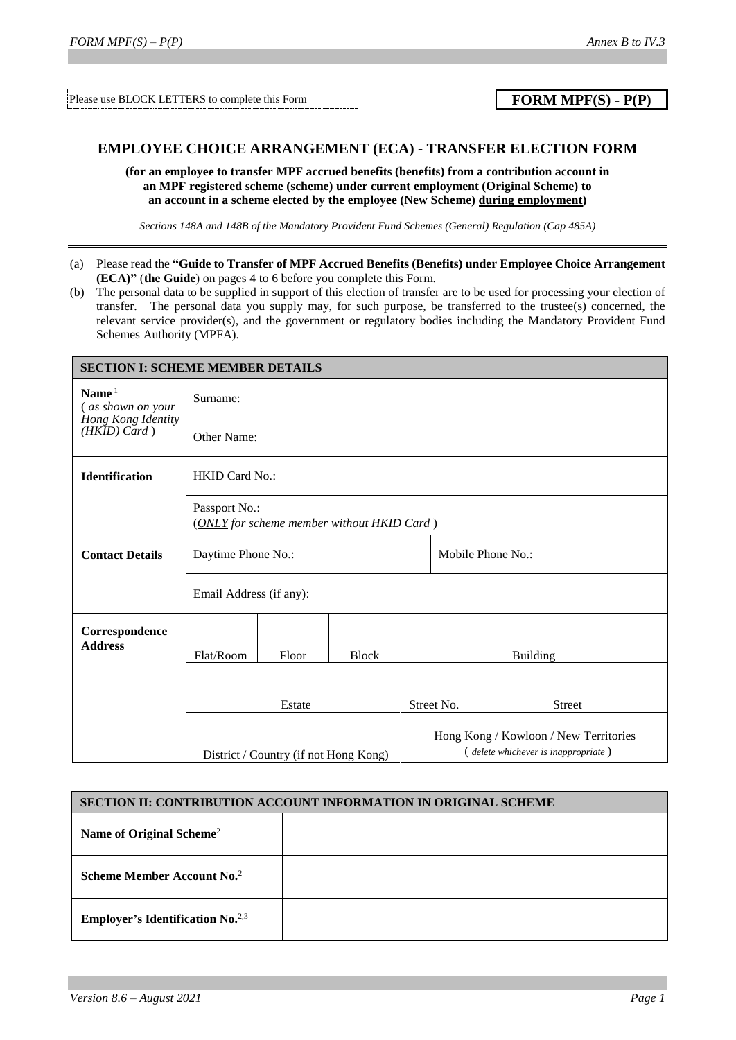Please use BLOCK LETTERS to complete this Form **FORM MPF(S)** - **P(P)** 

## **EMPLOYEE CHOICE ARRANGEMENT (ECA) - TRANSFER ELECTION FORM**

**(for an employee to transfer MPF accrued benefits (benefits) from a contribution account in an MPF registered scheme (scheme) under current employment (Original Scheme) to an account in a scheme elected by the employee (New Scheme) during employment)**

*Sections 148A and 148B of the Mandatory Provident Fund Schemes (General) Regulation (Cap 485A)*

- (a) Please read the **"Guide to Transfer of MPF Accrued Benefits (Benefits) under Employee Choice Arrangement (ECA)"** (**the Guide**) on pages 4 to 6 before you complete this Form.
- (b) The personal data to be supplied in support of this election of transfer are to be used for processing your election of transfer. The personal data you supply may, for such purpose, be transferred to the trustee(s) concerned, the relevant service provider(s), and the government or regulatory bodies including the Mandatory Provident Fund Schemes Authority (MPFA).

| <b>SECTION I: SCHEME MEMBER DETAILS</b> |                                                             |        |                                                                              |                   |  |                 |  |
|-----------------------------------------|-------------------------------------------------------------|--------|------------------------------------------------------------------------------|-------------------|--|-----------------|--|
| Name $1$<br>(as shown on your           | Surname:                                                    |        |                                                                              |                   |  |                 |  |
| Hong Kong Identity<br>$(HKID)$ Card)    | Other Name:                                                 |        |                                                                              |                   |  |                 |  |
| Identification                          | <b>HKID Card No.:</b>                                       |        |                                                                              |                   |  |                 |  |
|                                         | Passport No.:<br>(ONLY for scheme member without HKID Card) |        |                                                                              |                   |  |                 |  |
| <b>Contact Details</b>                  | Daytime Phone No.:                                          |        |                                                                              | Mobile Phone No.: |  |                 |  |
|                                         | Email Address (if any):                                     |        |                                                                              |                   |  |                 |  |
| Correspondence<br><b>Address</b>        | Flat/Room                                                   | Floor  | <b>Block</b>                                                                 |                   |  | <b>Building</b> |  |
|                                         |                                                             | Estate |                                                                              | Street No.        |  | <b>Street</b>   |  |
|                                         | District / Country (if not Hong Kong)                       |        | Hong Kong / Kowloon / New Territories<br>(delete whichever is inappropriate) |                   |  |                 |  |

| SECTION II: CONTRIBUTION ACCOUNT INFORMATION IN ORIGINAL SCHEME |  |  |  |  |
|-----------------------------------------------------------------|--|--|--|--|
| Name of Original Scheme <sup>2</sup>                            |  |  |  |  |
| Scheme Member Account No. <sup>2</sup>                          |  |  |  |  |
| <b>Employer's Identification No.</b> <sup>2,3</sup>             |  |  |  |  |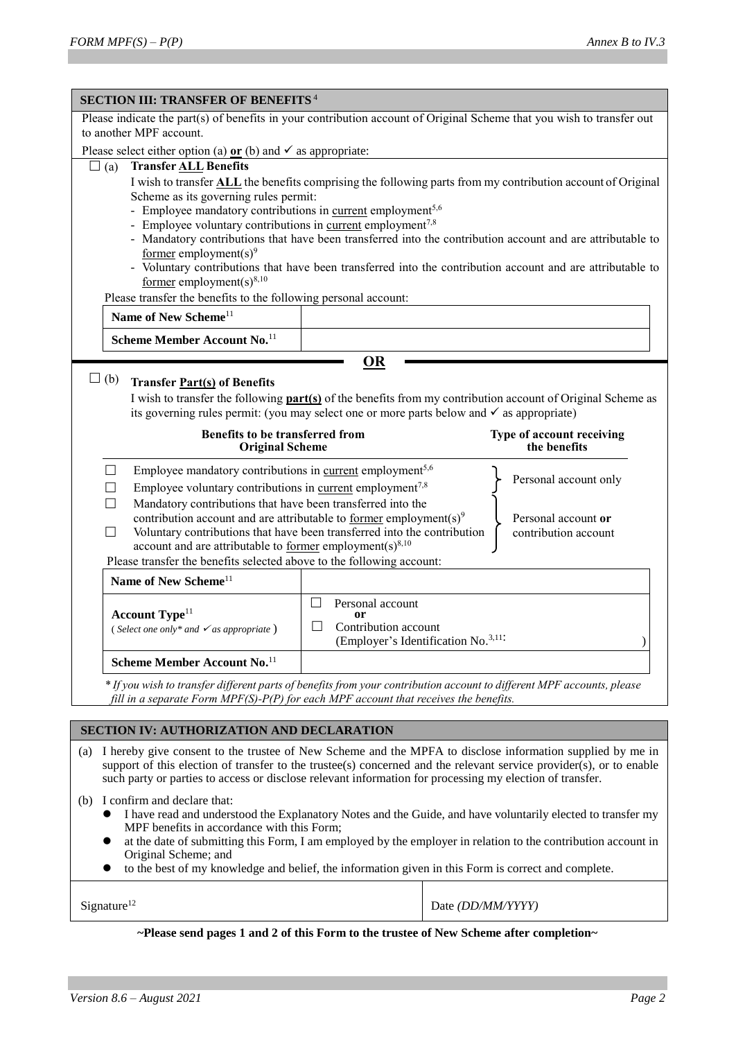| <b>SECTION III: TRANSFER OF BENEFITS<sup>4</sup></b><br>Please indicate the part(s) of benefits in your contribution account of Original Scheme that you wish to transfer out                                                   |                                                                                                                                                                                       |                                                                                                                    |  |  |  |  |
|---------------------------------------------------------------------------------------------------------------------------------------------------------------------------------------------------------------------------------|---------------------------------------------------------------------------------------------------------------------------------------------------------------------------------------|--------------------------------------------------------------------------------------------------------------------|--|--|--|--|
| to another MPF account.                                                                                                                                                                                                         |                                                                                                                                                                                       |                                                                                                                    |  |  |  |  |
| Please select either option (a) $or$ (b) and $\checkmark$ as appropriate:                                                                                                                                                       |                                                                                                                                                                                       |                                                                                                                    |  |  |  |  |
| <b>Transfer ALL Benefits</b><br>$\Box$ (a)                                                                                                                                                                                      |                                                                                                                                                                                       |                                                                                                                    |  |  |  |  |
|                                                                                                                                                                                                                                 | I wish to transfer <b>ALL</b> the benefits comprising the following parts from my contribution account of Original                                                                    |                                                                                                                    |  |  |  |  |
| Scheme as its governing rules permit:                                                                                                                                                                                           |                                                                                                                                                                                       |                                                                                                                    |  |  |  |  |
| - Employee mandatory contributions in current employment <sup>5,6</sup>                                                                                                                                                         |                                                                                                                                                                                       |                                                                                                                    |  |  |  |  |
|                                                                                                                                                                                                                                 | - Employee voluntary contributions in current employment <sup>7,8</sup><br>- Mandatory contributions that have been transferred into the contribution account and are attributable to |                                                                                                                    |  |  |  |  |
| <u>former</u> employment(s) <sup>9</sup>                                                                                                                                                                                        |                                                                                                                                                                                       |                                                                                                                    |  |  |  |  |
|                                                                                                                                                                                                                                 |                                                                                                                                                                                       | - Voluntary contributions that have been transferred into the contribution account and are attributable to         |  |  |  |  |
| former employment(s) $8,10$                                                                                                                                                                                                     |                                                                                                                                                                                       |                                                                                                                    |  |  |  |  |
| Please transfer the benefits to the following personal account:<br>Name of New Scheme <sup>11</sup>                                                                                                                             |                                                                                                                                                                                       |                                                                                                                    |  |  |  |  |
|                                                                                                                                                                                                                                 |                                                                                                                                                                                       |                                                                                                                    |  |  |  |  |
| Scheme Member Account No. <sup>11</sup>                                                                                                                                                                                         |                                                                                                                                                                                       |                                                                                                                    |  |  |  |  |
|                                                                                                                                                                                                                                 | <b>OR</b>                                                                                                                                                                             |                                                                                                                    |  |  |  |  |
| $\Box$ (b)<br><b>Transfer Part(s) of Benefits</b>                                                                                                                                                                               |                                                                                                                                                                                       |                                                                                                                    |  |  |  |  |
|                                                                                                                                                                                                                                 |                                                                                                                                                                                       | I wish to transfer the following <b>part(s)</b> of the benefits from my contribution account of Original Scheme as |  |  |  |  |
|                                                                                                                                                                                                                                 | its governing rules permit: (you may select one or more parts below and $\checkmark$ as appropriate)                                                                                  |                                                                                                                    |  |  |  |  |
| Benefits to be transferred from                                                                                                                                                                                                 |                                                                                                                                                                                       | Type of account receiving                                                                                          |  |  |  |  |
| <b>Original Scheme</b>                                                                                                                                                                                                          |                                                                                                                                                                                       | the benefits                                                                                                       |  |  |  |  |
| Employee mandatory contributions in current employment <sup>5,6</sup><br>H                                                                                                                                                      |                                                                                                                                                                                       |                                                                                                                    |  |  |  |  |
| Employee voluntary contributions in current employment <sup>7,8</sup>                                                                                                                                                           |                                                                                                                                                                                       | Personal account only                                                                                              |  |  |  |  |
| Mandatory contributions that have been transferred into the<br>$\mathsf{L}$                                                                                                                                                     |                                                                                                                                                                                       |                                                                                                                    |  |  |  |  |
| contribution account and are attributable to <u>former</u> employment(s) <sup>9</sup>                                                                                                                                           |                                                                                                                                                                                       | Personal account or                                                                                                |  |  |  |  |
|                                                                                                                                                                                                                                 | Voluntary contributions that have been transferred into the contribution<br>П<br>contribution account<br>account and are attributable to <u>former</u> employment(s) <sup>8,10</sup>  |                                                                                                                    |  |  |  |  |
| Please transfer the benefits selected above to the following account:                                                                                                                                                           |                                                                                                                                                                                       |                                                                                                                    |  |  |  |  |
| Name of New Scheme <sup>11</sup>                                                                                                                                                                                                |                                                                                                                                                                                       |                                                                                                                    |  |  |  |  |
|                                                                                                                                                                                                                                 |                                                                                                                                                                                       |                                                                                                                    |  |  |  |  |
| <b>Account Type</b> <sup>11</sup>                                                                                                                                                                                               | Personal account<br>or                                                                                                                                                                |                                                                                                                    |  |  |  |  |
| (Select one only* and $\checkmark$ as appropriate)                                                                                                                                                                              | $\Box$<br>Contribution account                                                                                                                                                        |                                                                                                                    |  |  |  |  |
|                                                                                                                                                                                                                                 | (Employer's Identification No. <sup>3,11:</sup>                                                                                                                                       |                                                                                                                    |  |  |  |  |
| Scheme Member Account No. <sup>11</sup>                                                                                                                                                                                         |                                                                                                                                                                                       |                                                                                                                    |  |  |  |  |
| * If you wish to transfer different parts of benefits from your contribution account to different MPF accounts, please                                                                                                          |                                                                                                                                                                                       |                                                                                                                    |  |  |  |  |
| fill in a separate Form $MPF(S)-P(P)$ for each MPF account that receives the benefits.                                                                                                                                          |                                                                                                                                                                                       |                                                                                                                    |  |  |  |  |
|                                                                                                                                                                                                                                 |                                                                                                                                                                                       |                                                                                                                    |  |  |  |  |
| SECTION IV: AUTHORIZATION AND DECLARATION                                                                                                                                                                                       |                                                                                                                                                                                       |                                                                                                                    |  |  |  |  |
| I hereby give consent to the trustee of New Scheme and the MPFA to disclose information supplied by me in<br>(a)                                                                                                                |                                                                                                                                                                                       |                                                                                                                    |  |  |  |  |
| support of this election of transfer to the trustee(s) concerned and the relevant service provider(s), or to enable<br>such party or parties to access or disclose relevant information for processing my election of transfer. |                                                                                                                                                                                       |                                                                                                                    |  |  |  |  |
|                                                                                                                                                                                                                                 |                                                                                                                                                                                       |                                                                                                                    |  |  |  |  |
| I confirm and declare that:<br>(b)<br>I have read and understood the Explanatory Notes and the Guide, and have voluntarily elected to transfer my                                                                               |                                                                                                                                                                                       |                                                                                                                    |  |  |  |  |
| MPF benefits in accordance with this Form;                                                                                                                                                                                      |                                                                                                                                                                                       |                                                                                                                    |  |  |  |  |
| ●                                                                                                                                                                                                                               |                                                                                                                                                                                       | at the date of submitting this Form, I am employed by the employer in relation to the contribution account in      |  |  |  |  |
| Original Scheme; and                                                                                                                                                                                                            |                                                                                                                                                                                       |                                                                                                                    |  |  |  |  |
| to the best of my knowledge and belief, the information given in this Form is correct and complete.                                                                                                                             |                                                                                                                                                                                       |                                                                                                                    |  |  |  |  |

Signature<sup>12</sup> Date *(DD/MM/YYYY)* 

**~Please send pages 1 and 2 of this Form to the trustee of New Scheme after completion~**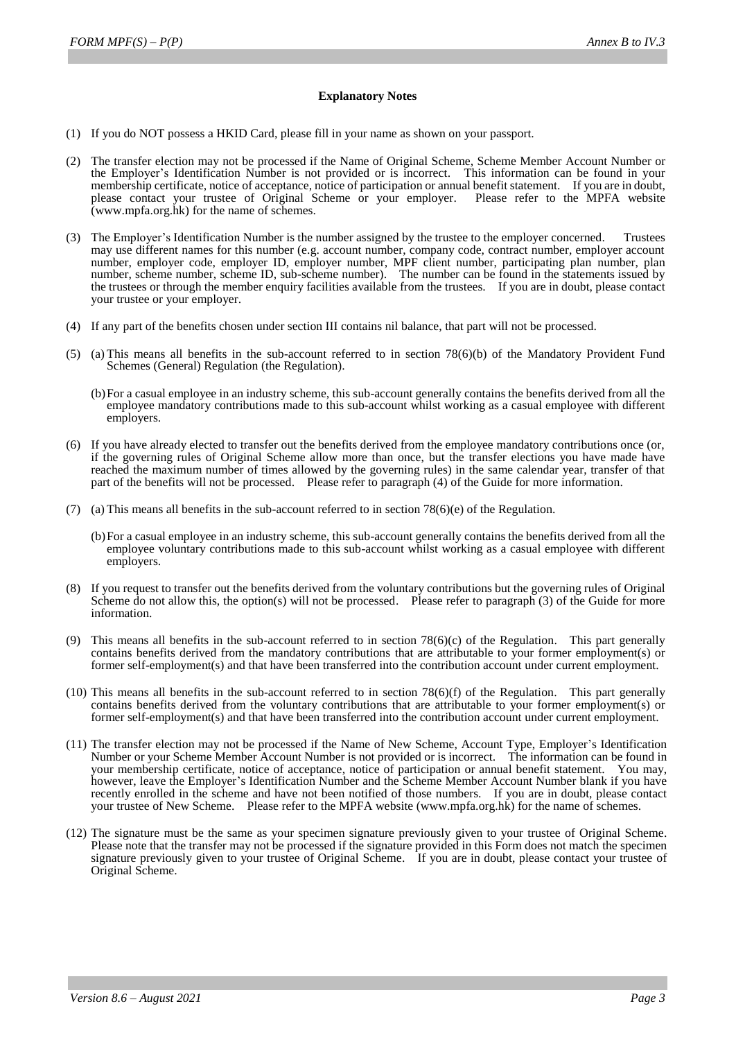## **Explanatory Notes**

- (1) If you do NOT possess a HKID Card, please fill in your name as shown on your passport.
- (2) The transfer election may not be processed if the Name of Original Scheme, Scheme Member Account Number or the Employer's Identification Number is not provided or is incorrect. This information can be found in your membership certificate, notice of acceptance, notice of participation or annual benefit statement. If you are in doubt, please contact your trustee of Original Scheme or your employer. Please refer to the MPFA website (www.mpfa.org.hk) for the name of schemes.
- (3) The Employer's Identification Number is the number assigned by the trustee to the employer concerned. Trustees may use different names for this number (e.g. account number, company code, contract number, employer account number, employer code, employer ID, employer number, MPF client number, participating plan number, plan number, scheme number, scheme ID, sub-scheme number). The number can be found in the statements issued by the trustees or through the member enquiry facilities available from the trustees. If you are in doubt, please contact your trustee or your employer.
- (4) If any part of the benefits chosen under section III contains nil balance, that part will not be processed.
- (5) (a) This means all benefits in the sub-account referred to in section 78(6)(b) of the Mandatory Provident Fund Schemes (General) Regulation (the Regulation).
	- (b)For a casual employee in an industry scheme, this sub-account generally contains the benefits derived from all the employee mandatory contributions made to this sub-account whilst working as a casual employee with different employers.
- (6) If you have already elected to transfer out the benefits derived from the employee mandatory contributions once (or, if the governing rules of Original Scheme allow more than once, but the transfer elections you have made have reached the maximum number of times allowed by the governing rules) in the same calendar year, transfer of that part of the benefits will not be processed. Please refer to paragraph (4) of the Guide for more information.
- (7) (a) This means all benefits in the sub-account referred to in section  $78(6)(e)$  of the Regulation.
	- (b)For a casual employee in an industry scheme, this sub-account generally contains the benefits derived from all the employee voluntary contributions made to this sub-account whilst working as a casual employee with different employers.
- (8) If you request to transfer out the benefits derived from the voluntary contributions but the governing rules of Original Scheme do not allow this, the option(s) will not be processed. Please refer to paragraph (3) of the Guide for more information.
- (9) This means all benefits in the sub-account referred to in section 78(6)(c) of the Regulation. This part generally contains benefits derived from the mandatory contributions that are attributable to your former employment(s) or former self-employment(s) and that have been transferred into the contribution account under current employment.
- $(10)$  This means all benefits in the sub-account referred to in section 78 $(6)$ (f) of the Regulation. This part generally contains benefits derived from the voluntary contributions that are attributable to your former employment(s) or former self-employment(s) and that have been transferred into the contribution account under current employment.
- (11) The transfer election may not be processed if the Name of New Scheme, Account Type, Employer's Identification Number or your Scheme Member Account Number is not provided or is incorrect. The information can be found in your membership certificate, notice of acceptance, notice of participation or annual benefit statement. You may, however, leave the Employer's Identification Number and the Scheme Member Account Number blank if you have recently enrolled in the scheme and have not been notified of those numbers. If you are in doubt, please contact your trustee of New Scheme. Please refer to the MPFA website (www.mpfa.org.hk) for the name of schemes.
- (12) The signature must be the same as your specimen signature previously given to your trustee of Original Scheme. Please note that the transfer may not be processed if the signature provided in this Form does not match the specimen signature previously given to your trustee of Original Scheme. If you are in doubt, please contact your trustee of Original Scheme.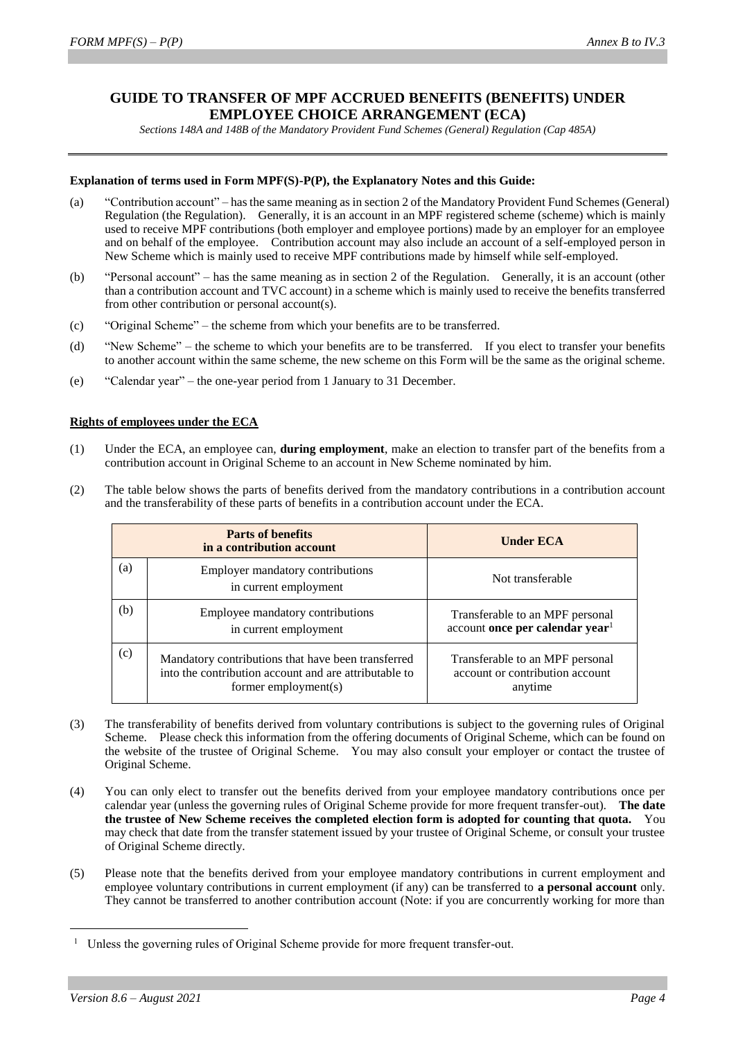# **GUIDE TO TRANSFER OF MPF ACCRUED BENEFITS (BENEFITS) UNDER EMPLOYEE CHOICE ARRANGEMENT (ECA)**

*Sections 148A and 148B of the Mandatory Provident Fund Schemes (General) Regulation (Cap 485A)*

### **Explanation of terms used in Form MPF(S)-P(P), the Explanatory Notes and this Guide:**

- (a) "Contribution account" has the same meaning as in section 2 of the Mandatory Provident Fund Schemes (General) Regulation (the Regulation). Generally, it is an account in an MPF registered scheme (scheme) which is mainly used to receive MPF contributions (both employer and employee portions) made by an employer for an employee and on behalf of the employee. Contribution account may also include an account of a self-employed person in New Scheme which is mainly used to receive MPF contributions made by himself while self-employed.
- (b) "Personal account" has the same meaning as in section 2 of the Regulation. Generally, it is an account (other than a contribution account and TVC account) in a scheme which is mainly used to receive the benefits transferred from other contribution or personal account(s).
- (c) "Original Scheme" the scheme from which your benefits are to be transferred.
- (d) "New Scheme" the scheme to which your benefits are to be transferred. If you elect to transfer your benefits to another account within the same scheme, the new scheme on this Form will be the same as the original scheme.
- (e) "Calendar year" the one-year period from 1 January to 31 December.

#### **Rights of employees under the ECA**

- (1) Under the ECA, an employee can, **during employment**, make an election to transfer part of the benefits from a contribution account in Original Scheme to an account in New Scheme nominated by him.
- (2) The table below shows the parts of benefits derived from the mandatory contributions in a contribution account and the transferability of these parts of benefits in a contribution account under the ECA.

| <b>Parts of benefits</b><br>in a contribution account |                                                                                                                                     | <b>Under ECA</b>                                                               |
|-------------------------------------------------------|-------------------------------------------------------------------------------------------------------------------------------------|--------------------------------------------------------------------------------|
| (a)                                                   | <b>Employer mandatory contributions</b><br>in current employment                                                                    | Not transferable                                                               |
| (b)                                                   | Employee mandatory contributions<br>in current employment                                                                           | Transferable to an MPF personal<br>account once per calendar year <sup>1</sup> |
| (c)                                                   | Mandatory contributions that have been transferred<br>into the contribution account and are attributable to<br>former employment(s) | Transferable to an MPF personal<br>account or contribution account<br>anytime  |

- (3) The transferability of benefits derived from voluntary contributions is subject to the governing rules of Original Scheme. Please check this information from the offering documents of Original Scheme, which can be found on the website of the trustee of Original Scheme. You may also consult your employer or contact the trustee of Original Scheme.
- (4) You can only elect to transfer out the benefits derived from your employee mandatory contributions once per calendar year (unless the governing rules of Original Scheme provide for more frequent transfer-out). **The date the trustee of New Scheme receives the completed election form is adopted for counting that quota.** You may check that date from the transfer statement issued by your trustee of Original Scheme, or consult your trustee of Original Scheme directly.
- (5) Please note that the benefits derived from your employee mandatory contributions in current employment and employee voluntary contributions in current employment (if any) can be transferred to **a personal account** only. They cannot be transferred to another contribution account (Note: if you are concurrently working for more than

-

Unless the governing rules of Original Scheme provide for more frequent transfer-out.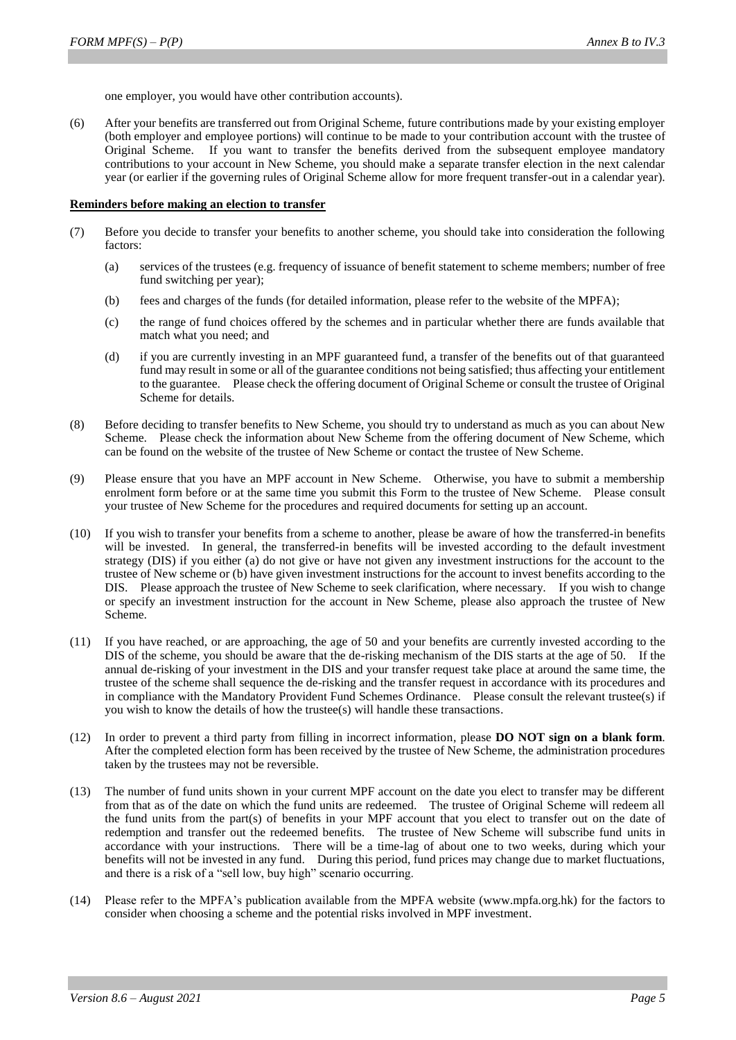one employer, you would have other contribution accounts).

(6) After your benefits are transferred out from Original Scheme, future contributions made by your existing employer (both employer and employee portions) will continue to be made to your contribution account with the trustee of Original Scheme. If you want to transfer the benefits derived from the subsequent employee mandatory contributions to your account in New Scheme, you should make a separate transfer election in the next calendar year (or earlier if the governing rules of Original Scheme allow for more frequent transfer-out in a calendar year).

#### **Reminders before making an election to transfer**

- (7) Before you decide to transfer your benefits to another scheme, you should take into consideration the following factors:
	- (a) services of the trustees (e.g. frequency of issuance of benefit statement to scheme members; number of free fund switching per year);
	- (b) fees and charges of the funds (for detailed information, please refer to the website of the MPFA);
	- (c) the range of fund choices offered by the schemes and in particular whether there are funds available that match what you need; and
	- (d) if you are currently investing in an MPF guaranteed fund, a transfer of the benefits out of that guaranteed fund may result in some or all of the guarantee conditions not being satisfied; thus affecting your entitlement to the guarantee. Please check the offering document of Original Scheme or consult the trustee of Original Scheme for details.
- (8) Before deciding to transfer benefits to New Scheme, you should try to understand as much as you can about New Scheme. Please check the information about New Scheme from the offering document of New Scheme, which can be found on the website of the trustee of New Scheme or contact the trustee of New Scheme.
- (9) Please ensure that you have an MPF account in New Scheme. Otherwise, you have to submit a membership enrolment form before or at the same time you submit this Form to the trustee of New Scheme. Please consult your trustee of New Scheme for the procedures and required documents for setting up an account.
- (10) If you wish to transfer your benefits from a scheme to another, please be aware of how the transferred-in benefits will be invested. In general, the transferred-in benefits will be invested according to the default investment strategy (DIS) if you either (a) do not give or have not given any investment instructions for the account to the trustee of New scheme or (b) have given investment instructions for the account to invest benefits according to the DIS. Please approach the trustee of New Scheme to seek clarification, where necessary. If you wish to change or specify an investment instruction for the account in New Scheme, please also approach the trustee of New Scheme.
- (11) If you have reached, or are approaching, the age of 50 and your benefits are currently invested according to the DIS of the scheme, you should be aware that the de-risking mechanism of the DIS starts at the age of 50. If the annual de-risking of your investment in the DIS and your transfer request take place at around the same time, the trustee of the scheme shall sequence the de-risking and the transfer request in accordance with its procedures and in compliance with the Mandatory Provident Fund Schemes Ordinance. Please consult the relevant trustee(s) if you wish to know the details of how the trustee(s) will handle these transactions.
- (12) In order to prevent a third party from filling in incorrect information, please **DO NOT sign on a blank form**. After the completed election form has been received by the trustee of New Scheme, the administration procedures taken by the trustees may not be reversible.
- (13) The number of fund units shown in your current MPF account on the date you elect to transfer may be different from that as of the date on which the fund units are redeemed. The trustee of Original Scheme will redeem all the fund units from the part(s) of benefits in your MPF account that you elect to transfer out on the date of redemption and transfer out the redeemed benefits. The trustee of New Scheme will subscribe fund units in accordance with your instructions. There will be a time-lag of about one to two weeks, during which your benefits will not be invested in any fund. During this period, fund prices may change due to market fluctuations, and there is a risk of a "sell low, buy high" scenario occurring.
- (14) Please refer to the MPFA's publication available from the MPFA website (www.mpfa.org.hk) for the factors to consider when choosing a scheme and the potential risks involved in MPF investment.